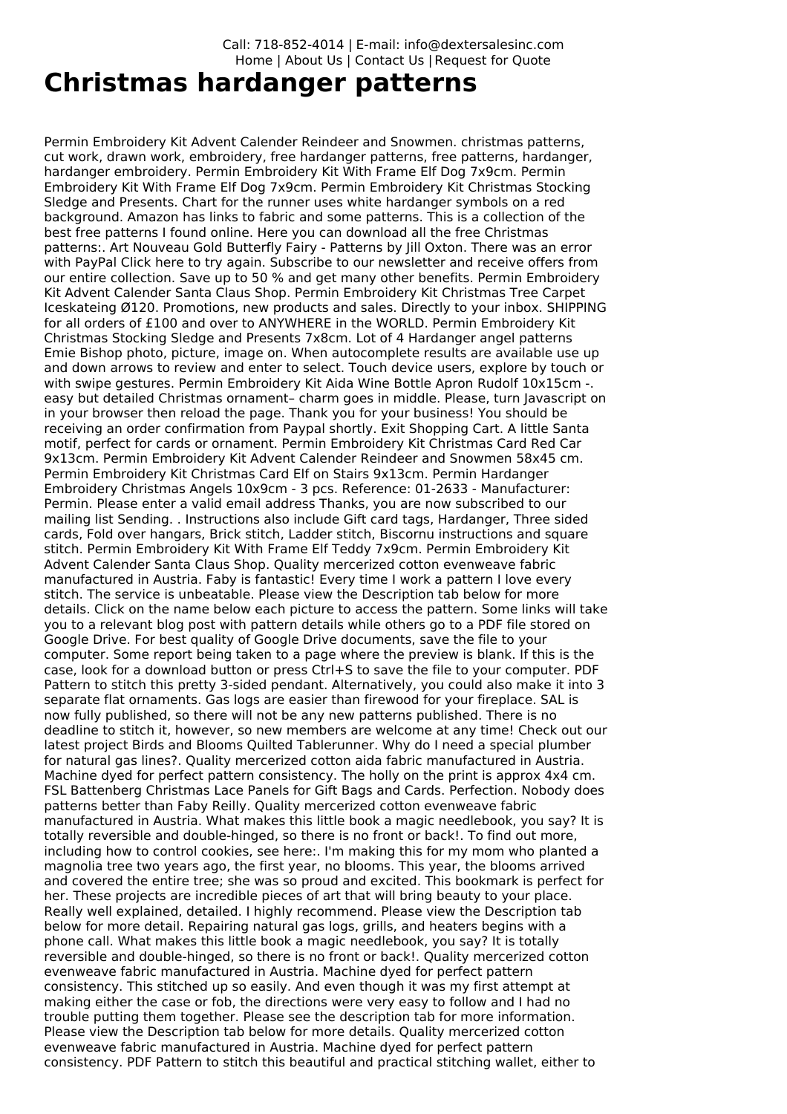Call: 718-852-4014 | E-mail: info@dextersalesinc.com Home | About Us | Contact Us |Request for Quote

## **Christmas hardanger patterns**

Permin Embroidery Kit Advent Calender Reindeer and Snowmen. christmas patterns, cut work, drawn work, embroidery, free hardanger patterns, free patterns, hardanger, hardanger embroidery. Permin Embroidery Kit With Frame Elf Dog 7x9cm. Permin Embroidery Kit With Frame Elf Dog 7x9cm. Permin Embroidery Kit Christmas Stocking Sledge and Presents. Chart for the runner uses white hardanger symbols on a red background. Amazon has links to fabric and some patterns. This is a collection of the best free patterns I found online. Here you can download all the free Christmas patterns:. Art Nouveau Gold Butterfly Fairy - Patterns by Jill Oxton. There was an error with PayPal Click here to try again. Subscribe to our newsletter and receive offers from our entire collection. Save up to 50 % and get many other benefits. Permin Embroidery Kit Advent Calender Santa Claus Shop. Permin Embroidery Kit Christmas Tree Carpet Iceskateing Ø120. Promotions, new products and sales. Directly to your inbox. SHIPPING for all orders of £100 and over to ANYWHERE in the WORLD. Permin Embroidery Kit Christmas Stocking Sledge and Presents 7x8cm. Lot of 4 Hardanger angel patterns Emie Bishop photo, picture, image on. When autocomplete results are available use up and down arrows to review and enter to select. Touch device users, explore by touch or with swipe gestures. Permin Embroidery Kit Aida Wine Bottle Apron Rudolf 10x15cm -. easy but detailed Christmas ornament– charm goes in middle. Please, turn Javascript on in your browser then reload the page. Thank you for your business! You should be receiving an order confirmation from Paypal shortly. Exit Shopping Cart. A little Santa motif, perfect for cards or ornament. Permin Embroidery Kit Christmas Card Red Car 9x13cm. Permin Embroidery Kit Advent Calender Reindeer and Snowmen 58x45 cm. Permin Embroidery Kit Christmas Card Elf on Stairs 9x13cm. Permin Hardanger Embroidery Christmas Angels 10x9cm - 3 pcs. Reference: 01-2633 - Manufacturer: Permin. Please enter a valid email address Thanks, you are now subscribed to our mailing list Sending. . Instructions also include Gift card tags, Hardanger, Three sided cards, Fold over hangars, Brick stitch, Ladder stitch, Biscornu instructions and square stitch. Permin Embroidery Kit With Frame Elf Teddy 7x9cm. Permin Embroidery Kit Advent Calender Santa Claus Shop. Quality mercerized cotton evenweave fabric manufactured in Austria. Faby is fantastic! Every time I work a pattern I love every stitch. The service is unbeatable. Please view the Description tab below for more details. Click on the name below each picture to access the pattern. Some links will take you to a relevant blog post with pattern details while others go to a PDF file stored on Google Drive. For best quality of Google Drive documents, save the file to your computer. Some report being taken to a page where the preview is blank. If this is the case, look for a download button or press Ctrl+S to save the file to your computer. PDF Pattern to stitch this pretty 3-sided pendant. Alternatively, you could also make it into 3 separate flat ornaments. Gas logs are easier than firewood for your fireplace. SAL is now fully published, so there will not be any new patterns published. There is no deadline to stitch it, however, so new members are welcome at any time! Check out our latest project Birds and Blooms Quilted Tablerunner. Why do I need a special plumber for natural gas lines?. Quality mercerized cotton aida fabric manufactured in Austria. Machine dyed for perfect pattern consistency. The holly on the print is approx 4x4 cm. FSL Battenberg Christmas Lace Panels for Gift Bags and Cards. Perfection. Nobody does patterns better than Faby Reilly. Quality mercerized cotton evenweave fabric manufactured in Austria. What makes this little book a magic needlebook, you say? It is totally reversible and double-hinged, so there is no front or back!. To find out more, including how to control cookies, see here:. I'm making this for my mom who planted a magnolia tree two years ago, the first year, no blooms. This year, the blooms arrived and covered the entire tree; she was so proud and excited. This bookmark is perfect for her. These projects are incredible pieces of art that will bring beauty to your place. Really well explained, detailed. I highly recommend. Please view the Description tab below for more detail. Repairing natural gas logs, grills, and heaters begins with a phone call. What makes this little book a magic needlebook, you say? It is totally reversible and double-hinged, so there is no front or back!. Quality mercerized cotton evenweave fabric manufactured in Austria. Machine dyed for perfect pattern consistency. This stitched up so easily. And even though it was my first attempt at making either the case or fob, the directions were very easy to follow and I had no trouble putting them together. Please see the description tab for more information. Please view the Description tab below for more details. Quality mercerized cotton evenweave fabric manufactured in Austria. Machine dyed for perfect pattern consistency. PDF Pattern to stitch this beautiful and practical stitching wallet, either to